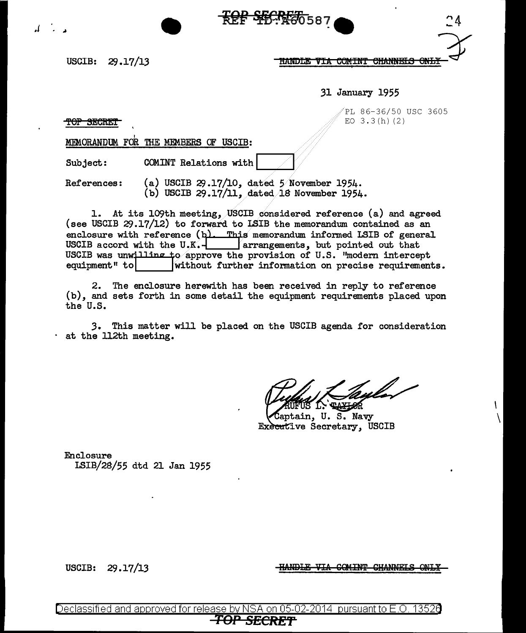



31 January 1955

/PL 86-36/50 USC 3605 EO  $3.3(h)(2)$ 

TOP SECRET

MEMORANDUM FOR THE MEMBERS OF USCIB:

Subject: COMINT Relations with

References:  $(a)$  USCIB 29.17/10, dated 5 November 1954. (b) USCIB 29.17/11, dated/18 November 1954.

1. At its 109th meeting, USCIB considered reference (a) and agreed (see USCIB 29.17/12) to forward to LSIB the memorandum contained as an enclosure with reference  $(b)$ . This memorandum informed LSIB of general USCIB accord with the U.K.  $\frac{1}{2}$  arrangements, but pointed out that USCIB was unwilling to approve the provision of U.S. "modern intercept equipment" to **v** without further information on precise requirement without further information on precise requirements.

\*\*\*\*\*\*\*\*\*\*\*\*\*\*\*\*\*\*\*

2. The enclosure herewith has been received in reply to reference (b), and sets forth in some detail the equipment requirements placed upon the U.S.

*3.* This matter will be placed on the USCIB agenda for consideration at the 112th meeting.

I  $\setminus$ 

Saptain, U.S. Navy Executive Secretary, USCIB

Enclosure LSIB/28/55 dtd 21 Jan 1955

HANDLE VIA COMINT CHANNELS

USCIB: 29.17/13

Declassified and approved for release by NSA on 05-02-2014  $\,$  pursuant to E.O. 13526  $\,$ <del>.TOP</del>